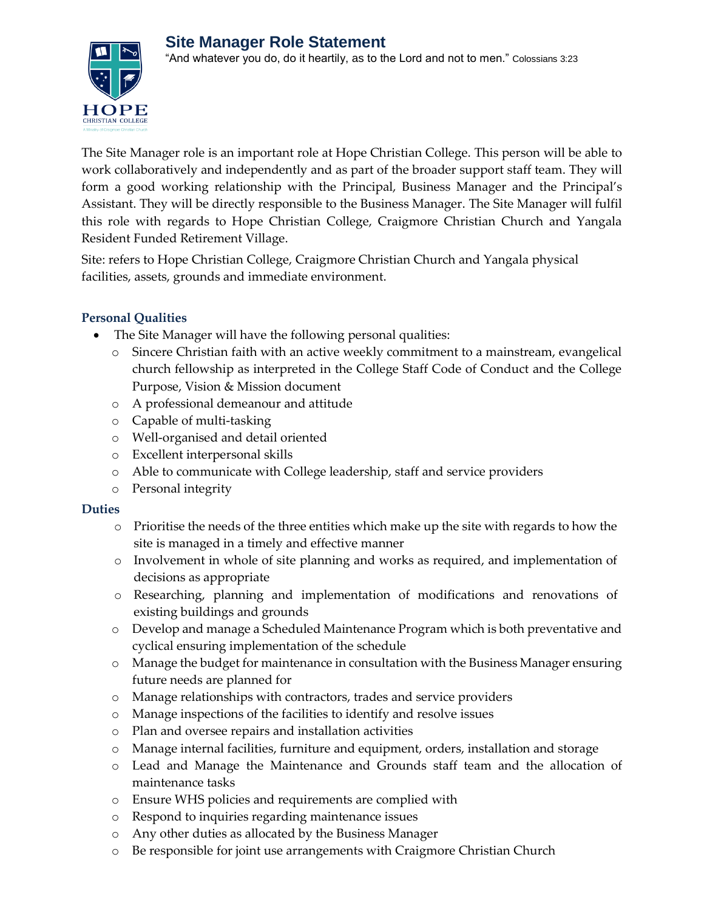

The Site Manager role is an important role at Hope Christian College. This person will be able to work collaboratively and independently and as part of the broader support staff team. They will form a good working relationship with the Principal, Business Manager and the Principal's Assistant. They will be directly responsible to the Business Manager. The Site Manager will fulfil this role with regards to Hope Christian College, Craigmore Christian Church and Yangala Resident Funded Retirement Village.

Site: refers to Hope Christian College, Craigmore Christian Church and Yangala physical facilities, assets, grounds and immediate environment.

## **Personal Qualities**

- The Site Manager will have the following personal qualities:
	- o Sincere Christian faith with an active weekly commitment to a mainstream, evangelical church fellowship as interpreted in the College Staff Code of Conduct and the College Purpose, Vision & Mission document
	- o A professional demeanour and attitude
	- o Capable of multi-tasking
	- o Well-organised and detail oriented
	- o Excellent interpersonal skills
	- o Able to communicate with College leadership, staff and service providers
	- o Personal integrity

## **Duties**

- o Prioritise the needs of the three entities which make up the site with regards to how the site is managed in a timely and effective manner
- o Involvement in whole of site planning and works as required, and implementation of decisions as appropriate
- o Researching, planning and implementation of modifications and renovations of existing buildings and grounds
- o Develop and manage a Scheduled Maintenance Program which is both preventative and cyclical ensuring implementation of the schedule
- o Manage the budget for maintenance in consultation with the Business Manager ensuring future needs are planned for
- o Manage relationships with contractors, trades and service providers
- o Manage inspections of the facilities to identify and resolve issues
- o Plan and oversee repairs and installation activities
- o Manage internal facilities, furniture and equipment, orders, installation and storage
- o Lead and Manage the Maintenance and Grounds staff team and the allocation of maintenance tasks
- o Ensure WHS policies and requirements are complied with
- o Respond to inquiries regarding maintenance issues
- o Any other duties as allocated by the Business Manager
- o Be responsible for joint use arrangements with Craigmore Christian Church